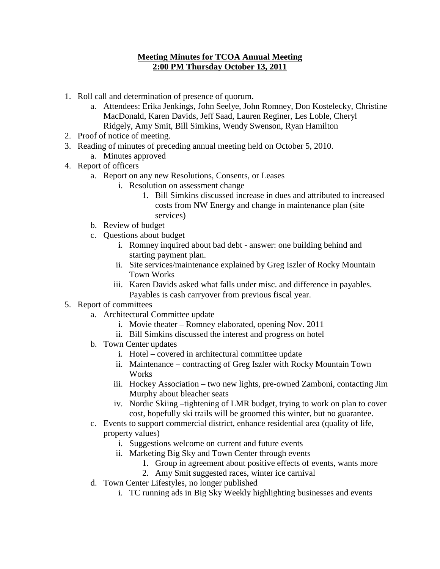## **Meeting Minutes for TCOA Annual Meeting 2:00 PM Thursday October 13, 2011**

- 1. Roll call and determination of presence of quorum.
	- a. Attendees: Erika Jenkings, John Seelye, John Romney, Don Kostelecky, Christine MacDonald, Karen Davids, Jeff Saad, Lauren Reginer, Les Loble, Cheryl Ridgely, Amy Smit, Bill Simkins, Wendy Swenson, Ryan Hamilton
- 2. Proof of notice of meeting.
- 3. Reading of minutes of preceding annual meeting held on October 5, 2010.
	- a. Minutes approved
- 4. Report of officers
	- a. Report on any new Resolutions, Consents, or Leases
		- i. Resolution on assessment change
			- 1. Bill Simkins discussed increase in dues and attributed to increased costs from NW Energy and change in maintenance plan (site services)
	- b. Review of budget
	- c. Questions about budget
		- i. Romney inquired about bad debt answer: one building behind and starting payment plan.
		- ii. Site services/maintenance explained by Greg Iszler of Rocky Mountain Town Works
		- iii. Karen Davids asked what falls under misc. and difference in payables. Payables is cash carryover from previous fiscal year.
- 5. Report of committees
	- a. Architectural Committee update
		- i. Movie theater Romney elaborated, opening Nov. 2011
		- ii. Bill Simkins discussed the interest and progress on hotel
	- b. Town Center updates
		- i. Hotel covered in architectural committee update
		- ii. Maintenance contracting of Greg Iszler with Rocky Mountain Town Works
		- iii. Hockey Association two new lights, pre-owned Zamboni, contacting Jim Murphy about bleacher seats
		- iv. Nordic Skiing –tightening of LMR budget, trying to work on plan to cover cost, hopefully ski trails will be groomed this winter, but no guarantee.
	- c. Events to support commercial district, enhance residential area (quality of life, property values)
		- i. Suggestions welcome on current and future events
		- ii. Marketing Big Sky and Town Center through events
			- 1. Group in agreement about positive effects of events, wants more
			- 2. Amy Smit suggested races, winter ice carnival
	- d. Town Center Lifestyles, no longer published
		- i. TC running ads in Big Sky Weekly highlighting businesses and events